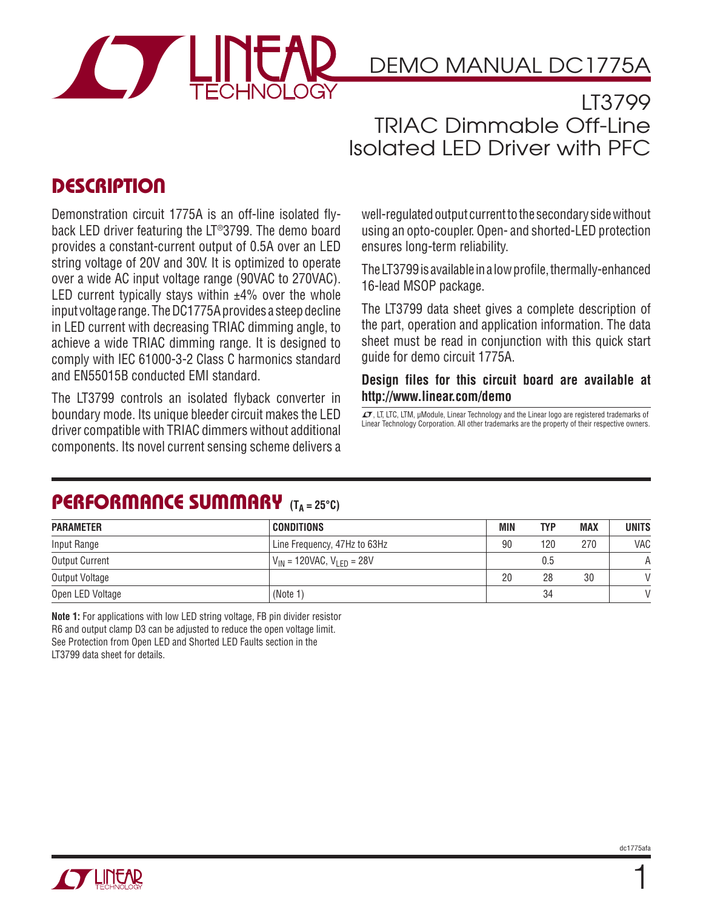

DEMO MANUAL DC1775A

LT3799 TRIAC Dimmable Off-Line Isolated LED Driver with PFC

## **DESCRIPTION**

Demonstration circuit 1775A is an off-line isolated flyback LED driver featuring the LT®3799. The demo board provides a constant-current output of 0.5A over an LED string voltage of 20V and 30V. It is optimized to operate over a wide AC input voltage range (90VAC to 270VAC). LED current typically stays within  $\pm 4\%$  over the whole input voltage range. The DC1775A provides a steep decline in LED current with decreasing TRIAC dimming angle, to achieve a wide TRIAC dimming range. It is designed to comply with IEC 61000-3-2 Class C harmonics standard and EN55015B conducted EMI standard.

The LT3799 controls an isolated flyback converter in boundary mode. Its unique bleeder circuit makes the LED driver compatible with TRIAC dimmers without additional components. Its novel current sensing scheme delivers a well-regulated output current to the secondary side without using an opto-coupler. Open- and shorted-LED protection ensures long-term reliability.

The LT3799 is available in a low profile, thermally-enhanced 16-lead MSOP package.

The LT3799 data sheet gives a complete description of the part, operation and application information. The data sheet must be read in conjunction with this quick start guide for demo circuit 1775A.

#### **Design files for this circuit board are available at http://www.linear.com/demo**

 $I$ , LT, LTC, LTM, μModule, Linear Technology and the Linear logo are registered trademarks of Linear Technology Corporation. All other trademarks are the property of their respective owners.

## **PERFORMANCE SUMMARY (TA = 25°C)**

| <b>PARAMETER</b>      | <b>CONDITIONS</b>                  | MIN | <b>TYP</b> | <b>MAX</b> | <b>UNITS</b>  |
|-----------------------|------------------------------------|-----|------------|------------|---------------|
| Input Range           | Line Frequency, 47Hz to 63Hz       | 90  | 120        | 270        | VAC           |
| <b>Output Current</b> | $V_{IN}$ = 120VAC, $V_{IFD}$ = 28V |     | 0.5        |            | А             |
| Output Voltage        |                                    | 20  | 28         | 30         | $\mathcal{U}$ |
| Open LED Voltage      | (Note 1)                           |     | 34         |            | $\mathcal{U}$ |

**Note 1:** For applications with low LED string voltage, FB pin divider resistor R6 and output clamp D3 can be adjusted to reduce the open voltage limit. See Protection from Open LED and Shorted LED Faults section in the LT3799 data sheet for details.



1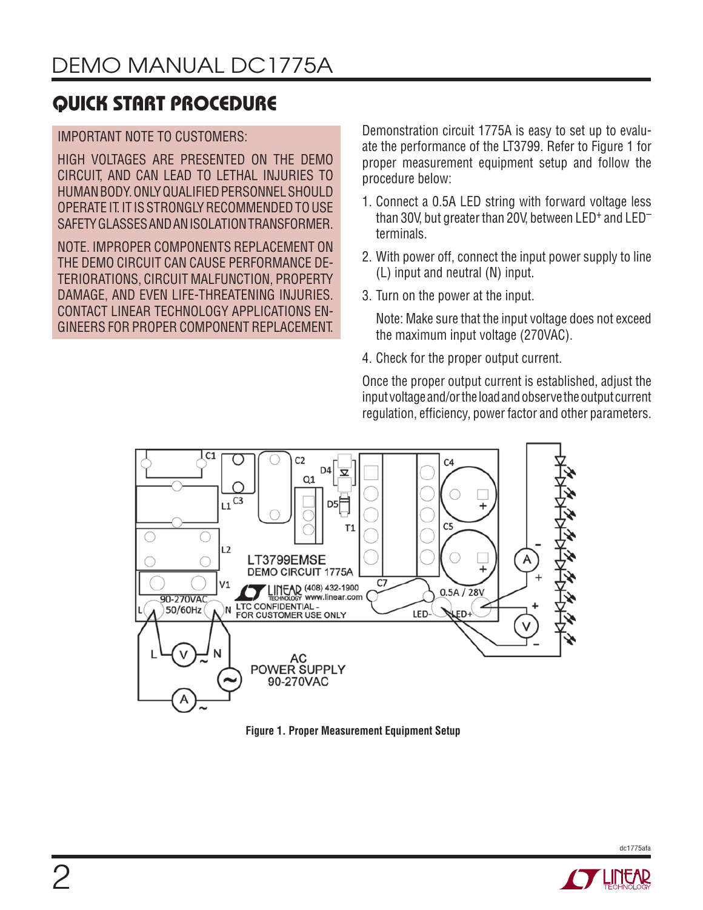#### IMPORTANT NOTE TO CUSTOMERS:

HIGH VOLTAGES ARE PRESENTED ON THE DEMO CIRCUIT, AND CAN LEAD TO LETHAL INJURIES TO HUMAN BODY. ONLY QUALIFIED PERSONNEL SHOULD. OPERATE IT. IT IS STRONGLY RECOMMENDED TO USE SAFETY GLASSES AND AN ISOLATION TRANSFORMER.

NOTE. IMPROPER COMPONENTS REPLACEMENT ON THE DEMO CIRCUIT CAN CAUSE PERFORMANCE DE-TERIORATIONS, CIRCUIT MALFUNCTION, PROPERTY DAMAGE, AND EVEN LIFE-THREATENING INJURIES. CONTACT LINEAR TECHNOLOGY APPLICATIONS EN-GINEERS FOR PROPER COMPONENT REPLACEMENT.

Demonstration circuit 1775A is easy to set up to evaluate the performance of the LT3799. Refer to Figure 1 for proper measurement equipment setup and follow the procedure below:

- 1. Connect a 0.5A LED string with forward voltage less than 30V, but greater than 20V, between LED+ and LED– terminals.
- 2. With power off, connect the input power supply to line (L) input and neutral (N) input.
- 3. Turn on the power at the input.

 Note: Make sure that the input voltage does not exceed the maximum input voltage (270VAC).

4. Check for the proper output current.

Once the proper output current is established, adjust the input voltage and/or the load and observe the output current regulation, efficiency, power factor and other parameters.



**Figure 1. Proper Measurement Equipment Setup**

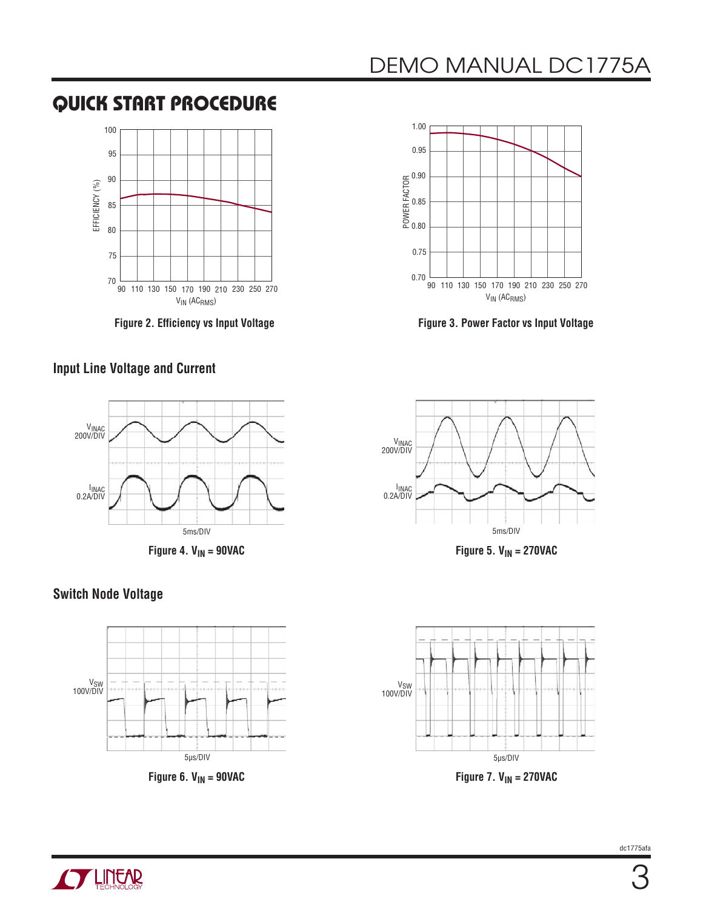

**Figure 2. Efficiency vs Input Voltage**

### **Input Line Voltage and Current**





**Figure 3. Power Factor vs Input Voltage**







**Figure 7. V<sub>IN</sub> = 270VAC** 

#### **Switch Node Voltage**



Figure 6.  $V_{IN}$  = 90VAC

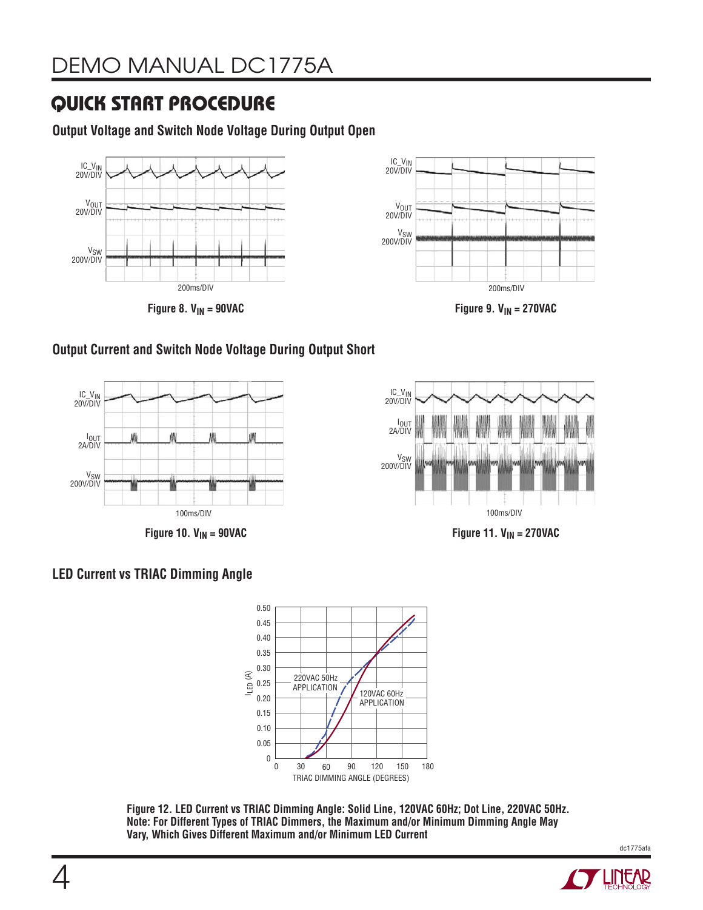**Output Voltage and Switch Node Voltage During Output Open**



Figure 8.  $V_{IN}$  = 90VAC



Figure 9.  $V_{IN}$  = 270VAC

### **Output Current and Switch Node Voltage During Output Short**



**Figure 10. V<sub>IN</sub> = 90VAC** 



**Figure 11. V<sub>IN</sub> = 270VAC** 

### **LED Current vs TRIAC Dimming Angle**



**Figure 12. LED Current vs TRIAC Dimming Angle: Solid Line, 120VAC 60Hz; Dot Line, 220VAC 50Hz. Note: For Different Types of TRIAC Dimmers, the Maximum and/or Minimum Dimming Angle May Vary, Which Gives Different Maximum and/or Minimum LED Current**

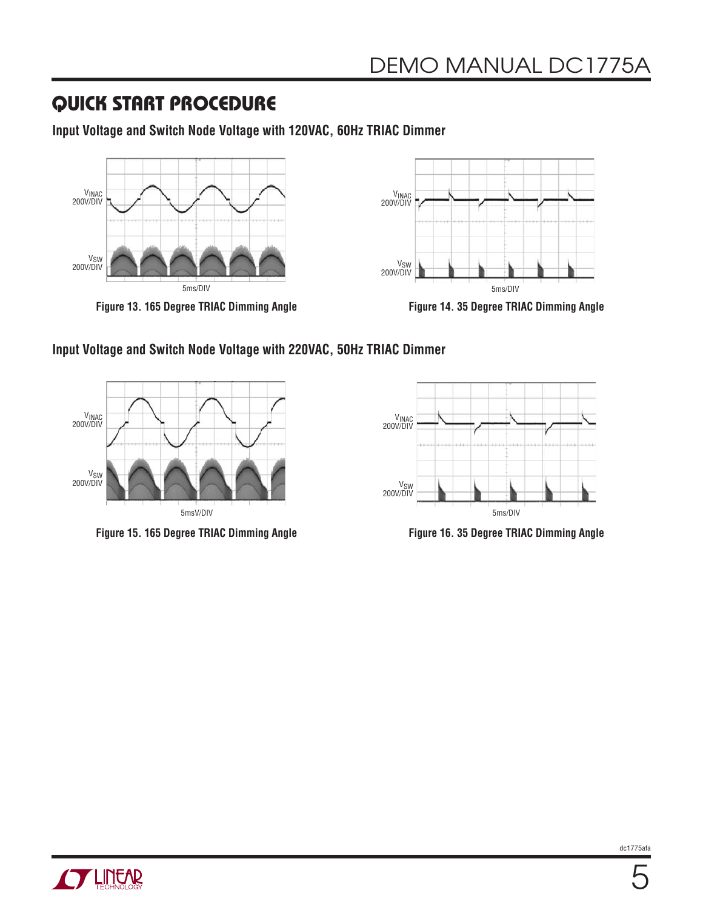**Input Voltage and Switch Node Voltage with 120VAC, 60Hz TRIAC Dimmer** 



**Figure 13. 165 Degree TRIAC Dimming Angle**



**Figure 14. 35 Degree TRIAC Dimming Angle**

#### **Input Voltage and Switch Node Voltage with 220VAC, 50Hz TRIAC Dimmer**



**Figure 15. 165 Degree TRIAC Dimming Angle**



**Figure 16. 35 Degree TRIAC Dimming Angle**

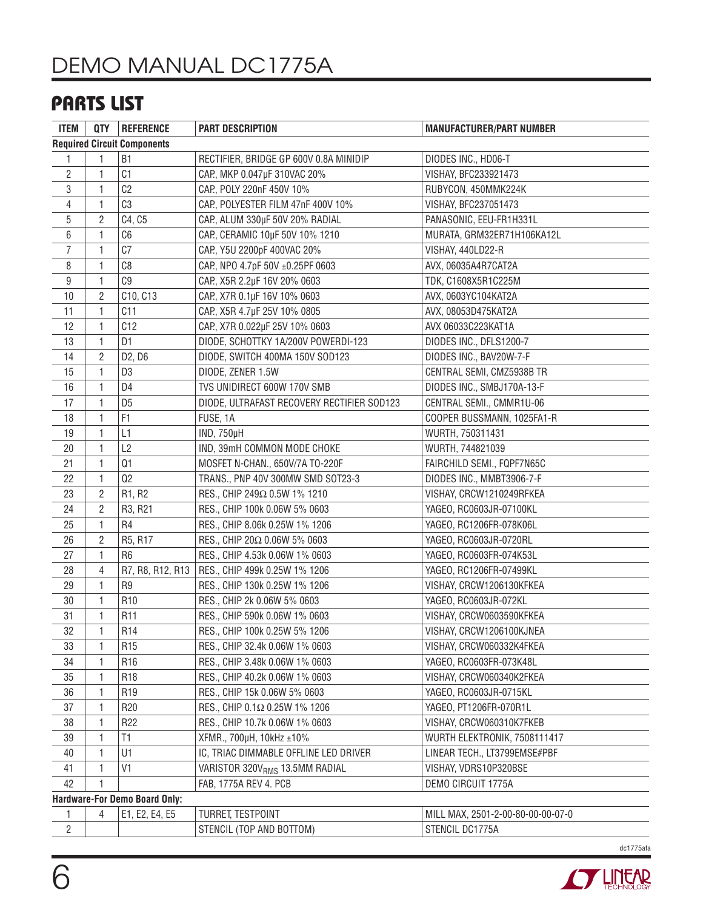# **PARTS LIST**

| <b>ITEM</b>                        |                | QTY REFERENCE                   | PART DESCRIPTION                           | <b>MANUFACTURER/PART NUMBER</b>   |  |  |  |
|------------------------------------|----------------|---------------------------------|--------------------------------------------|-----------------------------------|--|--|--|
| <b>Required Circuit Components</b> |                |                                 |                                            |                                   |  |  |  |
| 1                                  | 1              | B <sub>1</sub>                  | RECTIFIER, BRIDGE GP 600V 0.8A MINIDIP     | DIODES INC., HD06-T               |  |  |  |
| $\overline{c}$                     | 1              | C <sub>1</sub>                  | CAP., MKP 0.047µF 310VAC 20%               | VISHAY, BFC233921473              |  |  |  |
| $\,3$                              | 1              | C <sub>2</sub>                  | CAP, POLY 220nF 450V 10%                   | RUBYCON, 450MMK224K               |  |  |  |
| $\overline{4}$                     | 1              | C3                              | CAP., POLYESTER FILM 47nF 400V 10%         | VISHAY, BFC237051473              |  |  |  |
| $\overline{5}$                     | 2              | C4, C5                          | CAP., ALUM 330µF 50V 20% RADIAL            | PANASONIC, EEU-FR1H331L           |  |  |  |
| 6                                  | 1              | C6                              | CAP., CERAMIC 10µF 50V 10% 1210            | MURATA, GRM32ER71H106KA12L        |  |  |  |
| $\overline{7}$                     | 1              | C7                              | CAP., Y5U 2200pF 400VAC 20%                | VISHAY, 440LD22-R                 |  |  |  |
| 8                                  | 1              | C8                              | CAP, NPO 4.7pF 50V ±0.25PF 0603            | AVX, 06035A4R7CAT2A               |  |  |  |
| 9                                  | 1              | C9                              | CAP., X5R 2.2µF 16V 20% 0603               | TDK, C1608X5R1C225M               |  |  |  |
| 10                                 | 2              | C10, C13                        | CAP, X7R 0.1µF 16V 10% 0603                | AVX, 0603YC104KAT2A               |  |  |  |
| 11                                 | 1              | C11                             | CAP., X5R 4.7µF 25V 10% 0805               | AVX, 08053D475KAT2A               |  |  |  |
| 12                                 | 1              | C12                             | CAP, X7R 0.022µF 25V 10% 0603              | AVX 06033C223KAT1A                |  |  |  |
| 13                                 | 1              | D1                              | DIODE, SCHOTTKY 1A/200V POWERDI-123        | DIODES INC., DFLS1200-7           |  |  |  |
| 14                                 | $\overline{c}$ | D <sub>2</sub> , D <sub>6</sub> | DIODE, SWITCH 400MA 150V SOD123            | DIODES INC., BAV20W-7-F           |  |  |  |
| 15                                 | 1              | D <sub>3</sub>                  | DIODE, ZENER 1.5W                          | CENTRAL SEMI, CMZ5938B TR         |  |  |  |
| 16                                 | 1              | D <sub>4</sub>                  | TVS UNIDIRECT 600W 170V SMB                | DIODES INC., SMBJ170A-13-F        |  |  |  |
| 17                                 | 1              | D <sub>5</sub>                  | DIODE, ULTRAFAST RECOVERY RECTIFIER SOD123 | CENTRAL SEMI., CMMR1U-06          |  |  |  |
| 18                                 | 1              | F <sub>1</sub>                  | FUSE, 1A                                   | COOPER BUSSMANN, 1025FA1-R        |  |  |  |
| 19                                 | 1              | L1                              | IND, 750µH                                 | WURTH, 750311431                  |  |  |  |
| 20                                 | 1              | L2                              | IND, 39mH COMMON MODE CHOKE                | WURTH, 744821039                  |  |  |  |
| 21                                 | 1              | Q1                              | MOSFET N-CHAN., 650V/7A TO-220F            | FAIRCHILD SEMI., FQPF7N65C        |  |  |  |
| 22                                 | 1              | Q2                              | TRANS., PNP 40V 300MW SMD SOT23-3          | DIODES INC., MMBT3906-7-F         |  |  |  |
| 23                                 | 2              | R1, R2                          | RES., CHIP 249Ω 0.5W 1% 1210               | VISHAY, CRCW1210249RFKEA          |  |  |  |
| 24                                 | 2              | R3, R21                         | RES., CHIP 100k 0.06W 5% 0603              | YAGEO, RC0603JR-07100KL           |  |  |  |
| 25                                 | 1              | R <sub>4</sub>                  | RES., CHIP 8.06k 0.25W 1% 1206             | YAGEO, RC1206FR-078K06L           |  |  |  |
| 26                                 | $\overline{c}$ | R5, R17                         | RES., CHIP 20Ω 0.06W 5% 0603               | YAGEO, RC0603JR-0720RL            |  |  |  |
| 27                                 | 1              | R <sub>6</sub>                  | RES., CHIP 4.53k 0.06W 1% 0603             | YAGEO, RC0603FR-074K53L           |  |  |  |
| 28                                 | 4              | R7, R8, R12, R13                | RES., CHIP 499k 0.25W 1% 1206              | YAGEO, RC1206FR-07499KL           |  |  |  |
| 29                                 | 1              | R9                              | RES., CHIP 130k 0.25W 1% 1206              | VISHAY, CRCW1206130KFKEA          |  |  |  |
| 30                                 | 1              | R <sub>10</sub>                 | RES., CHIP 2k 0.06W 5% 0603                | YAGEO, RC0603JR-072KL             |  |  |  |
| 31                                 | 1              | R <sub>11</sub>                 | RES., CHIP 590k 0.06W 1% 0603              | VISHAY, CRCW0603590KFKEA          |  |  |  |
| 32                                 |                | R <sub>14</sub>                 | RES., CHIP 100k 0.25W 5% 1206              | VISHAY, CRCW1206100KJNEA          |  |  |  |
| 33                                 | 1              | R <sub>15</sub>                 | RES., CHIP 32.4k 0.06W 1% 0603             | VISHAY, CRCW060332K4FKEA          |  |  |  |
| 34                                 | 1              | R <sub>16</sub>                 | RES., CHIP 3.48k 0.06W 1% 0603             | YAGEO, RC0603FR-073K48L           |  |  |  |
| 35                                 | 1              | R <sub>18</sub>                 | RES., CHIP 40.2k 0.06W 1% 0603             | VISHAY, CRCW060340K2FKEA          |  |  |  |
| 36                                 | 1              | R <sub>19</sub>                 | RES., CHIP 15k 0.06W 5% 0603               | YAGEO, RC0603JR-0715KL            |  |  |  |
| 37                                 | 1              | R <sub>20</sub>                 | RES., CHIP 0.1Ω 0.25W 1% 1206              | YAGEO, PT1206FR-070R1L            |  |  |  |
| 38                                 | 1              | R <sub>22</sub>                 | RES., CHIP 10.7k 0.06W 1% 0603             | VISHAY, CRCW060310K7FKEB          |  |  |  |
| 39                                 | 1              | T1                              | XFMR., 700µH, 10kHz ±10%                   | WURTH ELEKTRONIK, 7508111417      |  |  |  |
| 40                                 | 1              | U1                              | IC, TRIAC DIMMABLE OFFLINE LED DRIVER      | LINEAR TECH., LT3799EMSE#PBF      |  |  |  |
| 41                                 | 1              | V <sub>1</sub>                  | VARISTOR 320V <sub>RMS</sub> 13.5MM RADIAL | VISHAY, VDRS10P320BSE             |  |  |  |
| 42                                 | 1              |                                 | FAB, 1775A REV 4. PCB                      | DEMO CIRCUIT 1775A                |  |  |  |
| Hardware-For Demo Board Only:      |                |                                 |                                            |                                   |  |  |  |
| 1.                                 | 4              | E1, E2, E4, E5                  | TURRET, TESTPOINT                          | MILL MAX, 2501-2-00-80-00-00-07-0 |  |  |  |
| $\overline{2}$                     |                |                                 | STENCIL (TOP AND BOTTOM)                   | STENCIL DC1775A                   |  |  |  |

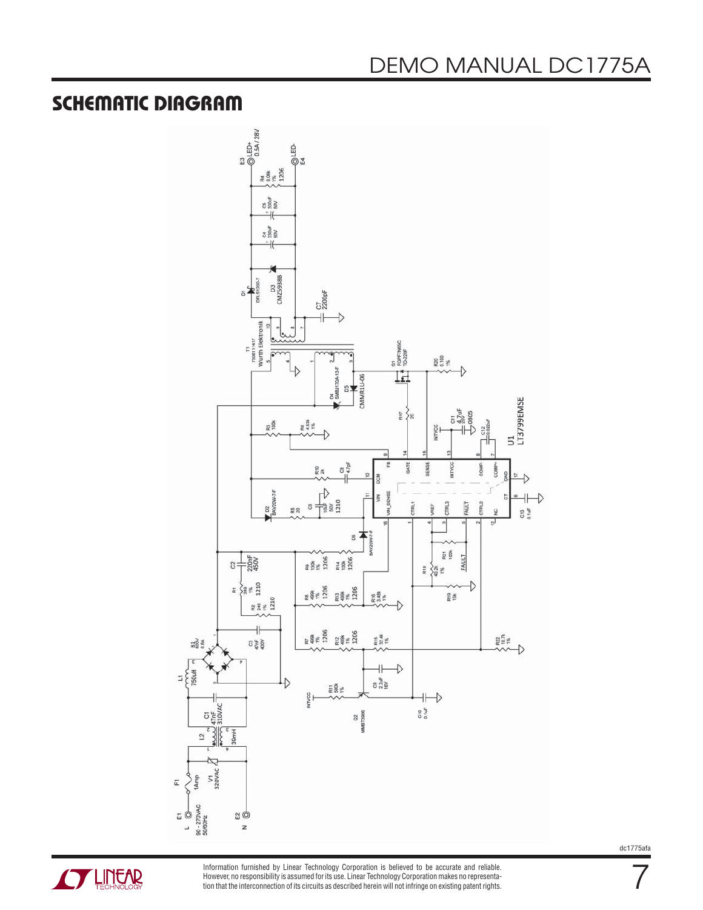### **SCHEMATIC DIAGRAM**





Information furnished by Linear Technology Corporation is believed to be accurate and reliable. However, no responsibility is assumed for its use. Linear Technology Corporation makes no representation that the interconnection of its circuits as described herein will not infringe on existing patent rights. dc1775afa

7